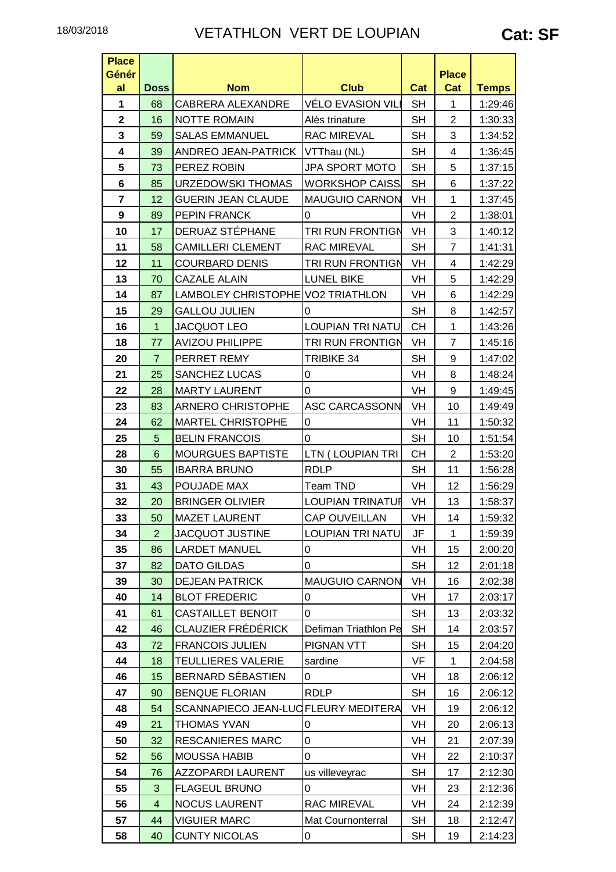| <b>Place</b><br>Génér<br>al | <b>Doss</b>    | <b>Nom</b>                           | <b>Club</b>             | Cat       | <b>Place</b><br>Cat | <b>Temps</b> |
|-----------------------------|----------------|--------------------------------------|-------------------------|-----------|---------------------|--------------|
| 1                           | 68             | CABRERA ALEXANDRE                    | VÉLO EVASION VILI       | <b>SH</b> | $\mathbf{1}$        | 1:29:46      |
| $\overline{\mathbf{2}}$     | 16             | <b>NOTTE ROMAIN</b>                  | Alès trinature          | <b>SH</b> | $\overline{2}$      | 1:30:33      |
| 3                           | 59             | <b>SALAS EMMANUEL</b>                | <b>RAC MIREVAL</b>      | <b>SH</b> | 3                   | 1:34:52      |
| 4                           | 39             | ANDREO JEAN-PATRICK                  | VTThau (NL)             | <b>SH</b> | 4                   | 1:36:45      |
| 5                           | 73             | PEREZ ROBIN                          | JPA SPORT MOTO          | <b>SH</b> | 5                   | 1:37:15      |
| 6                           | 85             | <b>URZEDOWSKI THOMAS</b>             | <b>WORKSHOP CAISS</b>   | <b>SH</b> | 6                   | 1:37:22      |
| $\overline{\mathbf{r}}$     | 12             | <b>GUERIN JEAN CLAUDE</b>            | <b>MAUGUIO CARNON</b>   | VH        | $\mathbf{1}$        | 1:37:45      |
| 9                           | 89             | PEPIN FRANCK                         | 0                       | VH        | $\overline{2}$      | 1:38:01      |
| 10                          | 17             | DERUAZ STÉPHANE                      | TRI RUN FRONTIGN        | VH        | 3                   | 1:40:12      |
| 11                          | 58             | <b>CAMILLERI CLEMENT</b>             | <b>RAC MIREVAL</b>      | <b>SH</b> | $\overline{7}$      | 1:41:31      |
| 12                          | 11             | <b>COURBARD DENIS</b>                | <b>TRI RUN FRONTIGN</b> | VH        | 4                   | 1:42:29      |
| 13                          | 70             | <b>CAZALE ALAIN</b>                  | <b>LUNEL BIKE</b>       | VH        | 5                   | 1:42:29      |
| 14                          | 87             | LAMBOLEY CHRISTOPHE VO2 TRIATHLON    |                         | VH        | 6                   | 1:42:29      |
| 15                          | 29             | <b>GALLOU JULIEN</b>                 | 0                       | <b>SH</b> | 8                   | 1:42:57      |
| 16                          | $\mathbf{1}$   | JACQUOT LEO                          | <b>LOUPIAN TRI NATU</b> | <b>CH</b> | $\mathbf{1}$        | 1:43:26      |
| 18                          | 77             | <b>AVIZOU PHILIPPE</b>               | <b>TRI RUN FRONTIGN</b> | VH        | $\overline{7}$      | 1:45:16      |
| 20                          | $\overline{7}$ | PERRET REMY                          | <b>TRIBIKE 34</b>       | <b>SH</b> | 9                   | 1:47:02      |
| 21                          | 25             | <b>SANCHEZ LUCAS</b>                 | 0                       | VH        | 8                   | 1:48:24      |
| 22                          | 28             | <b>MARTY LAURENT</b>                 | 0                       | VH        | 9                   | 1:49:45      |
| 23                          | 83             | ARNERO CHRISTOPHE                    | <b>ASC CARCASSONN</b>   | VH        | 10                  | 1:49:49      |
| 24                          | 62             | <b>MARTEL CHRISTOPHE</b>             | 0                       | VH        | 11                  | 1:50:32      |
| 25                          | 5              | <b>BELIN FRANCOIS</b>                | 0                       | <b>SH</b> | 10                  | 1:51:54      |
| 28                          | 6              | <b>MOURGUES BAPTISTE</b>             | LTN (LOUPIAN TRI        | <b>CH</b> | $\overline{c}$      | 1:53:20      |
| 30                          | 55             | <b>IBARRA BRUNO</b>                  | <b>RDLP</b>             | <b>SH</b> | 11                  | 1:56:28      |
| 31                          | 43             | POUJADE MAX                          | Team TND                | VH        | 12                  | 1:56:29      |
| 32                          | 20             | <b>BRINGER OLIVIER</b>               | <b>LOUPIAN TRINATUR</b> | VH        | 13                  | 1:58:37      |
| 33                          | 50             | <b>MAZET LAURENT</b>                 | CAP OUVEILLAN           | VH        | 14                  | 1:59:32      |
| 34                          | $\overline{2}$ | <b>JACQUOT JUSTINE</b>               | <b>LOUPIAN TRI NATU</b> | JF        | 1                   | 1:59:39      |
| 35                          | 86             | <b>LARDET MANUEL</b>                 | 0                       | VH        | 15                  | 2:00:20      |
| 37                          | 82             | <b>DATO GILDAS</b>                   | 0                       | <b>SH</b> | 12                  | 2:01:18      |
| 39                          | 30             | <b>DEJEAN PATRICK</b>                | <b>MAUGUIO CARNON</b>   | VH        | 16                  | 2:02:38      |
| 40                          | 14             | <b>BLOT FREDERIC</b>                 | 0                       | VH        | 17                  | 2:03:17      |
| 41                          | 61             | <b>CASTAILLET BENOIT</b>             | 0                       | <b>SH</b> | 13                  | 2:03:32      |
| 42                          | 46             | <b>CLAUZIER FRÉDÉRICK</b>            | Defiman Triathlon Pe    | <b>SH</b> | 14                  | 2:03:57      |
| 43                          | 72             | <b>FRANCOIS JULIEN</b>               | <b>PIGNAN VTT</b>       | <b>SH</b> | 15                  | 2:04:20      |
| 44                          | 18             | <b>TEULLIERES VALERIE</b>            | sardine                 | VF        | $\mathbf{1}$        | 2:04:58      |
| 46                          | 15             | BERNARD SEBASTIEN                    | 0                       | VH        | 18                  | 2:06:12      |
| 47                          | 90             | <b>BENQUE FLORIAN</b>                | <b>RDLP</b>             | <b>SH</b> | 16                  | 2:06:12      |
| 48                          | 54             | SCANNAPIECO JEAN-LUC FLEURY MEDITERA |                         | VH        | 19                  | 2:06:12      |
| 49                          | 21             | <b>THOMAS YVAN</b>                   | 0                       | VH        | 20                  | 2:06:13      |
| 50                          | 32             | <b>RESCANIERES MARC</b>              | 0                       | VH        | 21                  | 2:07:39      |
| 52                          | 56             | <b>MOUSSA HABIB</b>                  | 0                       | VH        | 22                  | 2:10:37      |
| 54                          | 76             | <b>AZZOPARDI LAURENT</b>             | us villeveyrac          | <b>SH</b> | 17                  | 2:12:30      |
| 55                          | $\mathfrak{S}$ | <b>FLAGEUL BRUNO</b>                 | 0                       | VH        | 23                  | 2:12:36      |
| 56                          | $\overline{4}$ | <b>NOCUS LAURENT</b>                 | RAC MIREVAL             | VH        | 24                  | 2:12:39      |
| 57                          | 44             | <b>VIGUIER MARC</b>                  | Mat Cournonterral       | <b>SH</b> | 18                  | 2:12:47      |
| 58                          | 40             | <b>CUNTY NICOLAS</b>                 | 0                       | <b>SH</b> | 19                  | 2:14:23      |